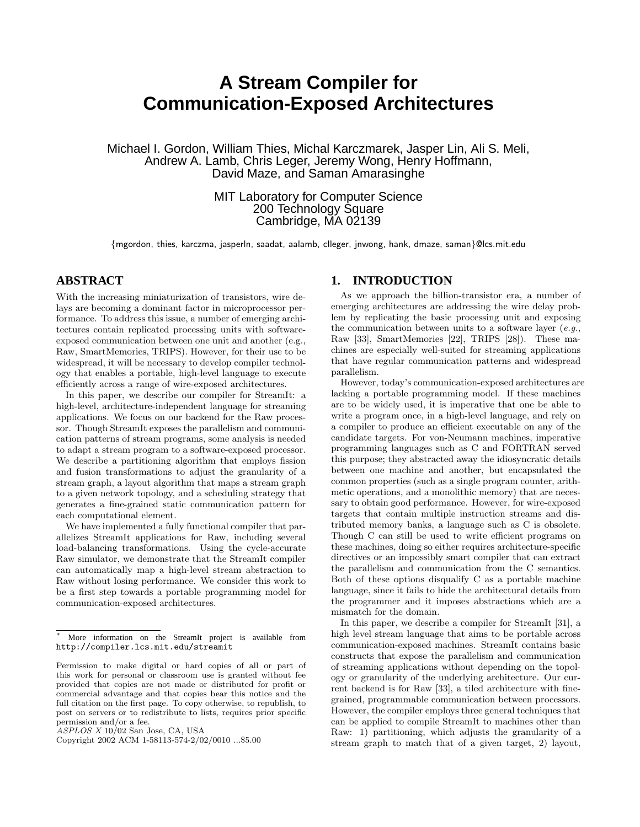# **A Stream Compiler for Communication-Exposed Architectures**

Michael I. Gordon, William Thies, Michal Karczmarek, Jasper Lin, Ali S. Meli, Andrew A. Lamb, Chris Leger, Jeremy Wong, Henry Hoffmann, David Maze, and Saman Amarasinghe

> MIT Laboratory for Computer Science 200 Technology Square Cambridge, MA 02139

{mgordon, thies, karczma, jasperln, saadat, aalamb, clleger, jnwong, hank, dmaze, saman}@lcs.mit.edu

# **ABSTRACT**

With the increasing miniaturization of transistors, wire delays are becoming a dominant factor in microprocessor performance. To address this issue, a number of emerging architectures contain replicated processing units with softwareexposed communication between one unit and another (e.g., Raw, SmartMemories, TRIPS). However, for their use to be widespread, it will be necessary to develop compiler technology that enables a portable, high-level language to execute efficiently across a range of wire-exposed architectures.

In this paper, we describe our compiler for StreamIt: a high-level, architecture-independent language for streaming applications. We focus on our backend for the Raw processor. Though StreamIt exposes the parallelism and communication patterns of stream programs, some analysis is needed to adapt a stream program to a software-exposed processor. We describe a partitioning algorithm that employs fission and fusion transformations to adjust the granularity of a stream graph, a layout algorithm that maps a stream graph to a given network topology, and a scheduling strategy that generates a fine-grained static communication pattern for each computational element.

We have implemented a fully functional compiler that parallelizes StreamIt applications for Raw, including several load-balancing transformations. Using the cycle-accurate Raw simulator, we demonstrate that the StreamIt compiler can automatically map a high-level stream abstraction to Raw without losing performance. We consider this work to be a first step towards a portable programming model for communication-exposed architectures.

ASPLOS X 10/02 San Jose, CA, USA

# **1. INTRODUCTION**

As we approach the billion-transistor era, a number of emerging architectures are addressing the wire delay problem by replicating the basic processing unit and exposing the communication between units to a software layer  $(e.q.,)$ Raw [33], SmartMemories [22], TRIPS [28]). These machines are especially well-suited for streaming applications that have regular communication patterns and widespread parallelism.

However, today's communication-exposed architectures are lacking a portable programming model. If these machines are to be widely used, it is imperative that one be able to write a program once, in a high-level language, and rely on a compiler to produce an efficient executable on any of the candidate targets. For von-Neumann machines, imperative programming languages such as C and FORTRAN served this purpose; they abstracted away the idiosyncratic details between one machine and another, but encapsulated the common properties (such as a single program counter, arithmetic operations, and a monolithic memory) that are necessary to obtain good performance. However, for wire-exposed targets that contain multiple instruction streams and distributed memory banks, a language such as C is obsolete. Though C can still be used to write efficient programs on these machines, doing so either requires architecture-specific directives or an impossibly smart compiler that can extract the parallelism and communication from the C semantics. Both of these options disqualify C as a portable machine language, since it fails to hide the architectural details from the programmer and it imposes abstractions which are a mismatch for the domain.

In this paper, we describe a compiler for StreamIt [31], a high level stream language that aims to be portable across communication-exposed machines. StreamIt contains basic constructs that expose the parallelism and communication of streaming applications without depending on the topology or granularity of the underlying architecture. Our current backend is for Raw [33], a tiled architecture with finegrained, programmable communication between processors. However, the compiler employs three general techniques that can be applied to compile StreamIt to machines other than Raw: 1) partitioning, which adjusts the granularity of a stream graph to match that of a given target, 2) layout,

More information on the StreamIt project is available from http://compiler.lcs.mit.edu/streamit

Permission to make digital or hard copies of all or part of this work for personal or classroom use is granted without fee provided that copies are not made or distributed for profit or commercial advantage and that copies bear this notice and the full citation on the first page. To copy otherwise, to republish, to post on servers or to redistribute to lists, requires prior specific permission and/or a fee.

Copyright 2002 ACM 1-58113-574-2/02/0010 ...\$5.00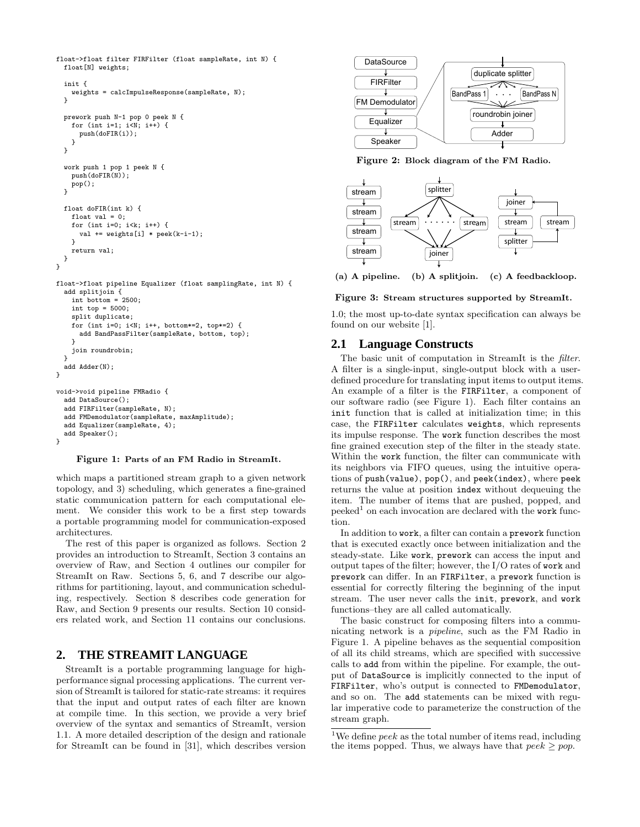```
float->float filter FIRFilter (float sampleRate, int N) {
  float[N] weights;
  init {
   weights = calcImpulseResponse(sampleRate, N);
 }
  prework push N-1 pop 0 peek N {
   for (int i=1; i<N; i++) {
      push(doFIR(i));
   }
 }
  work push 1 pop 1 peek N {
   push(doFIR(N));
   pop();
  }
 float doFIR(int k) {
    float val = 0;for (int i=0; i<k; i++) {
      val += weights[i] * peek(k-i-1);
   }
    return val;
 }
}
float->float pipeline Equalizer (float samplingRate, int N) {
  add splitjoin {
    int bottom = 2500;
    int top = 5000:
    split duplicate;
    for (int i=0; i< N; i++, bottom*=2, top*=2) {
      add BandPassFilter(sampleRate, bottom, top);
    }
   join roundrobin;
  }
add Adder(N);
}
void->void pipeline FMRadio {
 add DataSource();
  add FIRFilter(sampleRate, N);
 add FMDemodulator(sampleRate, maxAmplitude);
  add Equalizer(sampleRate, 4);
 add Speaker();
}
```
Figure 1: Parts of an FM Radio in StreamIt.

which maps a partitioned stream graph to a given network topology, and 3) scheduling, which generates a fine-grained static communication pattern for each computational element. We consider this work to be a first step towards a portable programming model for communication-exposed architectures.

The rest of this paper is organized as follows. Section 2 provides an introduction to StreamIt, Section 3 contains an overview of Raw, and Section 4 outlines our compiler for StreamIt on Raw. Sections 5, 6, and 7 describe our algorithms for partitioning, layout, and communication scheduling, respectively. Section 8 describes code generation for Raw, and Section 9 presents our results. Section 10 considers related work, and Section 11 contains our conclusions.

# **2. THE STREAMIT LANGUAGE**

StreamIt is a portable programming language for highperformance signal processing applications. The current version of StreamIt is tailored for static-rate streams: it requires that the input and output rates of each filter are known at compile time. In this section, we provide a very brief overview of the syntax and semantics of StreamIt, version 1.1. A more detailed description of the design and rationale for StreamIt can be found in [31], which describes version



Figure 2: Block diagram of the FM Radio.



(a) A pipeline. (b) A splitjoin. (c) A feedbackloop.

Figure 3: Stream structures supported by StreamIt.

1.0; the most up-to-date syntax specification can always be found on our website [1].

# **2.1 Language Constructs**

The basic unit of computation in StreamIt is the filter. A filter is a single-input, single-output block with a userdefined procedure for translating input items to output items. An example of a filter is the FIRFilter, a component of our software radio (see Figure 1). Each filter contains an init function that is called at initialization time; in this case, the FIRFilter calculates weights, which represents its impulse response. The work function describes the most fine grained execution step of the filter in the steady state. Within the work function, the filter can communicate with its neighbors via FIFO queues, using the intuitive operations of push(value), pop(), and peek(index), where peek returns the value at position index without dequeuing the item. The number of items that are pushed, popped, and peeked<sup>1</sup> on each invocation are declared with the work function.

In addition to work, a filter can contain a prework function that is executed exactly once between initialization and the steady-state. Like work, prework can access the input and output tapes of the filter; however, the I/O rates of work and prework can differ. In an FIRFilter, a prework function is essential for correctly filtering the beginning of the input stream. The user never calls the init, prework, and work functions–they are all called automatically.

The basic construct for composing filters into a communicating network is a pipeline, such as the FM Radio in Figure 1. A pipeline behaves as the sequential composition of all its child streams, which are specified with successive calls to add from within the pipeline. For example, the output of DataSource is implicitly connected to the input of FIRFilter, who's output is connected to FMDemodulator, and so on. The add statements can be mixed with regular imperative code to parameterize the construction of the stream graph.

<sup>&</sup>lt;sup>1</sup>We define *peek* as the total number of items read, including the items popped. Thus, we always have that  $peek \geq pop$ .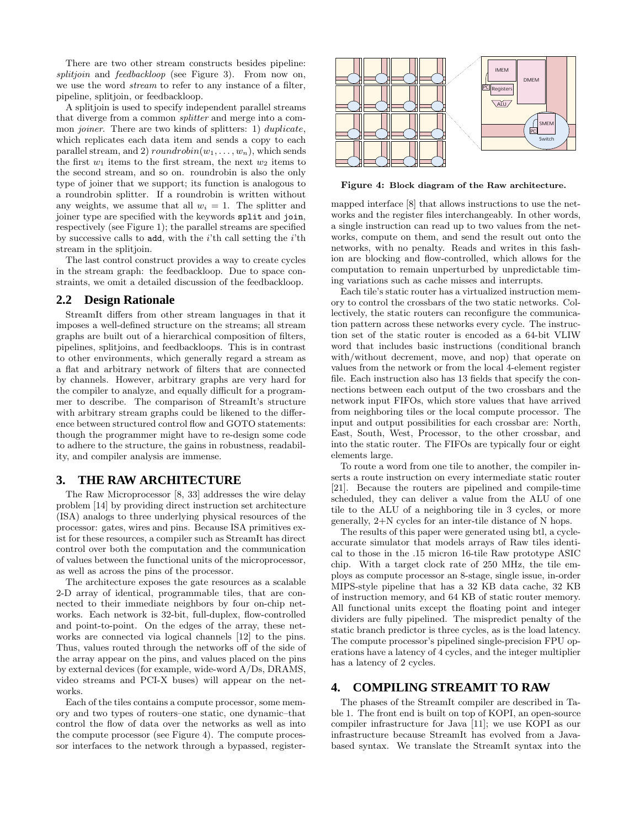There are two other stream constructs besides pipeline: splitjoin and feedbackloop (see Figure 3). From now on, we use the word stream to refer to any instance of a filter, pipeline, splitjoin, or feedbackloop.

A splitjoin is used to specify independent parallel streams that diverge from a common splitter and merge into a common *joiner*. There are two kinds of splitters: 1) *duplicate*, which replicates each data item and sends a copy to each parallel stream, and 2) roundrobin $(w_1, \ldots, w_n)$ , which sends the first  $w_1$  items to the first stream, the next  $w_2$  items to the second stream, and so on. roundrobin is also the only type of joiner that we support; its function is analogous to a roundrobin splitter. If a roundrobin is written without any weights, we assume that all  $w_i = 1$ . The splitter and joiner type are specified with the keywords split and join, respectively (see Figure 1); the parallel streams are specified by successive calls to add, with the  $i$ <sup>th</sup> call setting the  $i$ <sup>th</sup> stream in the splitjoin.

The last control construct provides a way to create cycles in the stream graph: the feedbackloop. Due to space constraints, we omit a detailed discussion of the feedbackloop.

#### **2.2 Design Rationale**

StreamIt differs from other stream languages in that it imposes a well-defined structure on the streams; all stream graphs are built out of a hierarchical composition of filters, pipelines, splitjoins, and feedbackloops. This is in contrast to other environments, which generally regard a stream as a flat and arbitrary network of filters that are connected by channels. However, arbitrary graphs are very hard for the compiler to analyze, and equally difficult for a programmer to describe. The comparison of StreamIt's structure with arbitrary stream graphs could be likened to the difference between structured control flow and GOTO statements: though the programmer might have to re-design some code to adhere to the structure, the gains in robustness, readability, and compiler analysis are immense.

# **3. THE RAW ARCHITECTURE**

The Raw Microprocessor [8, 33] addresses the wire delay problem [14] by providing direct instruction set architecture (ISA) analogs to three underlying physical resources of the processor: gates, wires and pins. Because ISA primitives exist for these resources, a compiler such as StreamIt has direct control over both the computation and the communication of values between the functional units of the microprocessor, as well as across the pins of the processor.

The architecture exposes the gate resources as a scalable 2-D array of identical, programmable tiles, that are connected to their immediate neighbors by four on-chip networks. Each network is 32-bit, full-duplex, flow-controlled and point-to-point. On the edges of the array, these networks are connected via logical channels [12] to the pins. Thus, values routed through the networks off of the side of the array appear on the pins, and values placed on the pins by external devices (for example, wide-word A/Ds, DRAMS, video streams and PCI-X buses) will appear on the networks.

Each of the tiles contains a compute processor, some memory and two types of routers–one static, one dynamic–that control the flow of data over the networks as well as into the compute processor (see Figure 4). The compute processor interfaces to the network through a bypassed, register-



Figure 4: Block diagram of the Raw architecture.

mapped interface [8] that allows instructions to use the networks and the register files interchangeably. In other words, a single instruction can read up to two values from the networks, compute on them, and send the result out onto the networks, with no penalty. Reads and writes in this fashion are blocking and flow-controlled, which allows for the computation to remain unperturbed by unpredictable timing variations such as cache misses and interrupts.

Each tile's static router has a virtualized instruction memory to control the crossbars of the two static networks. Collectively, the static routers can reconfigure the communication pattern across these networks every cycle. The instruction set of the static router is encoded as a 64-bit VLIW word that includes basic instructions (conditional branch with/without decrement, move, and nop) that operate on values from the network or from the local 4-element register file. Each instruction also has 13 fields that specify the connections between each output of the two crossbars and the network input FIFOs, which store values that have arrived from neighboring tiles or the local compute processor. The input and output possibilities for each crossbar are: North, East, South, West, Processor, to the other crossbar, and into the static router. The FIFOs are typically four or eight elements large.

To route a word from one tile to another, the compiler inserts a route instruction on every intermediate static router [21]. Because the routers are pipelined and compile-time scheduled, they can deliver a value from the ALU of one tile to the ALU of a neighboring tile in 3 cycles, or more generally, 2+N cycles for an inter-tile distance of N hops.

The results of this paper were generated using btl, a cycleaccurate simulator that models arrays of Raw tiles identical to those in the .15 micron 16-tile Raw prototype ASIC chip. With a target clock rate of 250 MHz, the tile employs as compute processor an 8-stage, single issue, in-order MIPS-style pipeline that has a 32 KB data cache, 32 KB of instruction memory, and 64 KB of static router memory. All functional units except the floating point and integer dividers are fully pipelined. The mispredict penalty of the static branch predictor is three cycles, as is the load latency. The compute processor's pipelined single-precision FPU operations have a latency of 4 cycles, and the integer multiplier has a latency of 2 cycles.

## **4. COMPILING STREAMIT TO RAW**

The phases of the StreamIt compiler are described in Table 1. The front end is built on top of KOPI, an open-source compiler infrastructure for Java [11]; we use KOPI as our infrastructure because StreamIt has evolved from a Javabased syntax. We translate the StreamIt syntax into the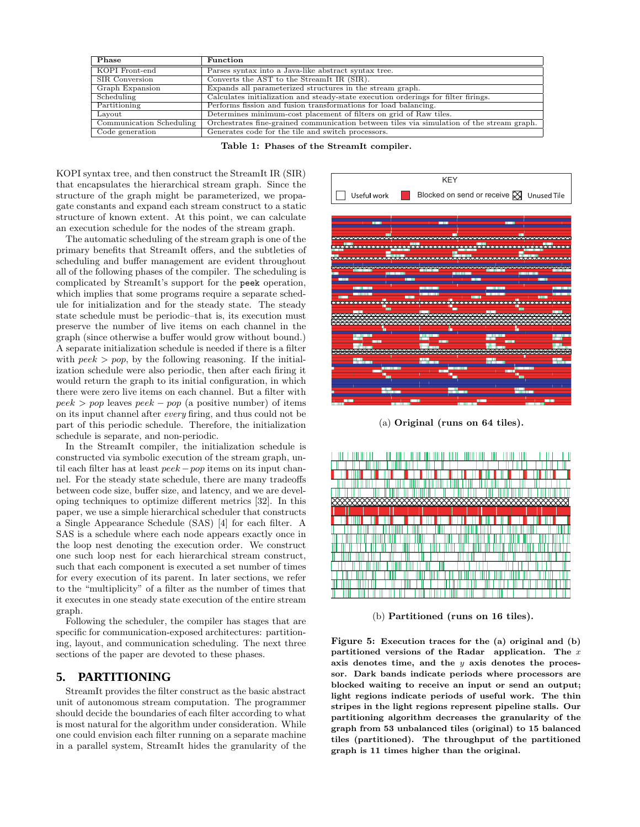| Function                                                                                  |
|-------------------------------------------------------------------------------------------|
| Parses syntax into a Java-like abstract syntax tree.                                      |
| Converts the AST to the StreamIt IR (SIR).                                                |
| Expands all parameterized structures in the stream graph.                                 |
| Calculates initialization and steady-state execution orderings for filter firings.        |
| Performs fission and fusion transformations for load balancing.                           |
| Determines minimum-cost placement of filters on grid of Raw tiles.                        |
| Orchestrates fine-grained communication between tiles via simulation of the stream graph. |
| Generates code for the tile and switch processors.                                        |
|                                                                                           |

**Table 1: Phases of the StreamIt compiler.**

KOPI syntax tree, and then construct the StreamIt IR (SIR) that encapsulates the hierarchical stream graph. Since the structure of the graph might be parameterized, we propagate constants and expand each stream construct to a static structure of known extent. At this point, we can calculate an execution schedule for the nodes of the stream graph.

The automatic scheduling of the stream graph is one of the primary benefits that StreamIt offers, and the subtleties of scheduling and buffer management are evident throughout all of the following phases of the compiler. The scheduling is complicated by StreamIt's support for the peek operation, which implies that some programs require a separate schedule for initialization and for the steady state. The steady state schedule must be periodic–that is, its execution must preserve the number of live items on each channel in the graph (since otherwise a buffer would grow without bound.) A separate initialization schedule is needed if there is a filter with  $peek > pop$ , by the following reasoning. If the initialization schedule were also periodic, then after each firing it would return the graph to its initial configuration, in which there were zero live items on each channel. But a filter with  $peek > pop$  leaves  $peek - pop$  (a positive number) of items on its input channel after every firing, and thus could not be part of this periodic schedule. Therefore, the initialization schedule is separate, and non-periodic.

In the StreamIt compiler, the initialization schedule is constructed via symbolic execution of the stream graph, until each filter has at least peek−pop items on its input channel. For the steady state schedule, there are many tradeoffs between code size, buffer size, and latency, and we are developing techniques to optimize different metrics [32]. In this paper, we use a simple hierarchical scheduler that constructs a Single Appearance Schedule (SAS) [4] for each filter. A SAS is a schedule where each node appears exactly once in the loop nest denoting the execution order. We construct one such loop nest for each hierarchical stream construct, such that each component is executed a set number of times for every execution of its parent. In later sections, we refer to the "multiplicity" of a filter as the number of times that it executes in one steady state execution of the entire stream graph.

Following the scheduler, the compiler has stages that are specific for communication-exposed architectures: partitioning, layout, and communication scheduling. The next three sections of the paper are devoted to these phases.

## **5. PARTITIONING**

StreamIt provides the filter construct as the basic abstract unit of autonomous stream computation. The programmer should decide the boundaries of each filter according to what is most natural for the algorithm under consideration. While one could envision each filter running on a separate machine in a parallel system, StreamIt hides the granularity of the



(a) **Original (runs on 64 tiles).**



(b) **Partitioned (runs on 16 tiles).**

**Figure 5: Execution traces for the (a) original and (b) partitioned versions of the Radar application. The** *x* **axis denotes time, and the** *y* **axis denotes the processor. Dark bands indicate periods where processors are blocked waiting to receive an input or send an output; light regions indicate periods of useful work. The thin stripes in the light regions represent pipeline stalls. Our partitioning algorithm decreases the granularity of the graph from 53 unbalanced tiles (original) to 15 balanced tiles (partitioned). The throughput of the partitioned graph is 11 times higher than the original.**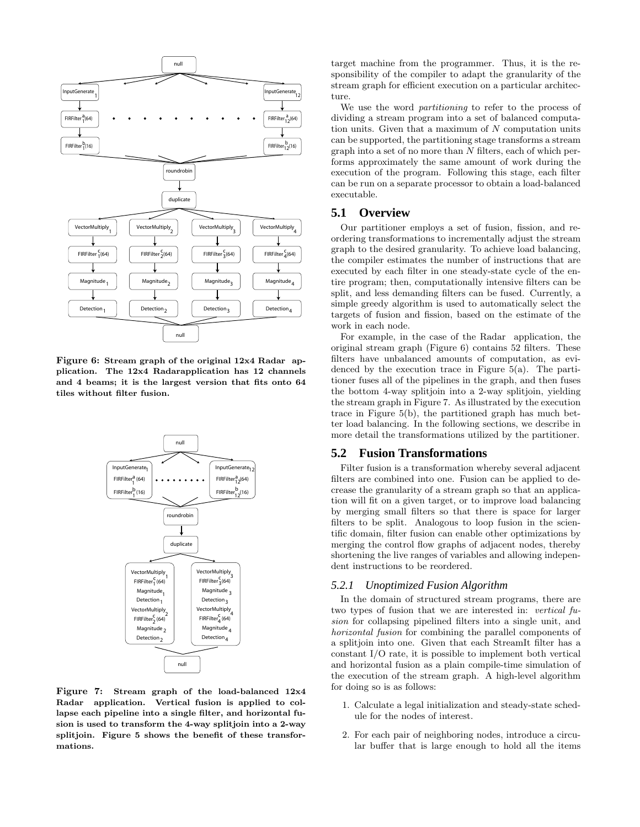

Figure 6: Stream graph of the original 12x4 Radar application. The 12x4 Radarapplication has 12 channels and 4 beams; it is the largest version that fits onto 64 tiles without filter fusion.



Figure 7: Stream graph of the load-balanced 12x4 Radar application. Vertical fusion is applied to collapse each pipeline into a single filter, and horizontal fusion is used to transform the 4-way splitjoin into a 2-way splitjoin. Figure 5 shows the benefit of these transformations.

target machine from the programmer. Thus, it is the responsibility of the compiler to adapt the granularity of the stream graph for efficient execution on a particular architecture.

We use the word *partitioning* to refer to the process of dividing a stream program into a set of balanced computation units. Given that a maximum of  $N$  computation units can be supported, the partitioning stage transforms a stream graph into a set of no more than  $N$  filters, each of which performs approximately the same amount of work during the execution of the program. Following this stage, each filter can be run on a separate processor to obtain a load-balanced executable.

## **5.1 Overview**

Our partitioner employs a set of fusion, fission, and reordering transformations to incrementally adjust the stream graph to the desired granularity. To achieve load balancing, the compiler estimates the number of instructions that are executed by each filter in one steady-state cycle of the entire program; then, computationally intensive filters can be split, and less demanding filters can be fused. Currently, a simple greedy algorithm is used to automatically select the targets of fusion and fission, based on the estimate of the work in each node.

For example, in the case of the Radar application, the original stream graph (Figure 6) contains 52 filters. These filters have unbalanced amounts of computation, as evidenced by the execution trace in Figure 5(a). The partitioner fuses all of the pipelines in the graph, and then fuses the bottom 4-way splitjoin into a 2-way splitjoin, yielding the stream graph in Figure 7. As illustrated by the execution trace in Figure 5(b), the partitioned graph has much better load balancing. In the following sections, we describe in more detail the transformations utilized by the partitioner.

#### **5.2 Fusion Transformations**

Filter fusion is a transformation whereby several adjacent filters are combined into one. Fusion can be applied to decrease the granularity of a stream graph so that an application will fit on a given target, or to improve load balancing by merging small filters so that there is space for larger filters to be split. Analogous to loop fusion in the scientific domain, filter fusion can enable other optimizations by merging the control flow graphs of adjacent nodes, thereby shortening the live ranges of variables and allowing independent instructions to be reordered.

#### *5.2.1 Unoptimized Fusion Algorithm*

In the domain of structured stream programs, there are two types of fusion that we are interested in: vertical fusion for collapsing pipelined filters into a single unit, and horizontal fusion for combining the parallel components of a splitjoin into one. Given that each StreamIt filter has a constant I/O rate, it is possible to implement both vertical and horizontal fusion as a plain compile-time simulation of the execution of the stream graph. A high-level algorithm for doing so is as follows:

- 1. Calculate a legal initialization and steady-state schedule for the nodes of interest.
- 2. For each pair of neighboring nodes, introduce a circular buffer that is large enough to hold all the items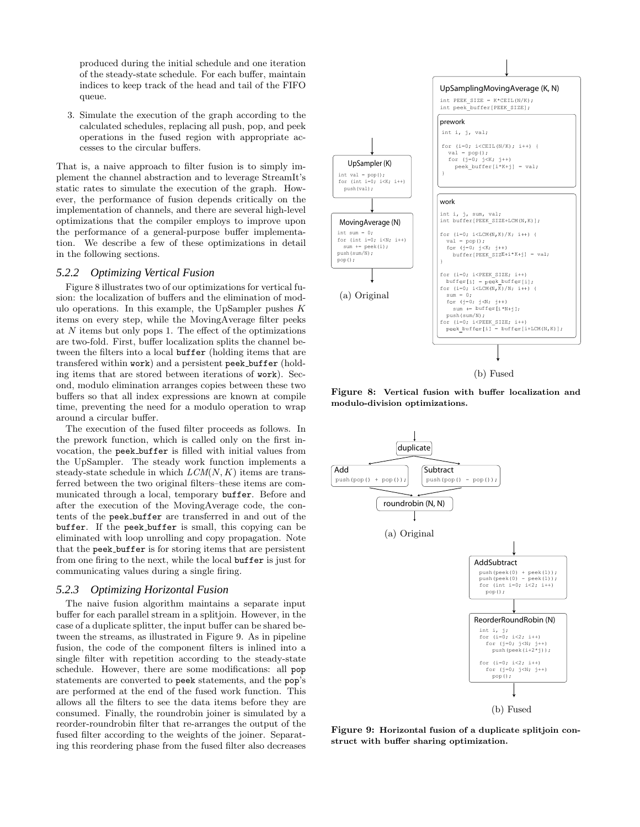produced during the initial schedule and one iteration of the steady-state schedule. For each buffer, maintain indices to keep track of the head and tail of the FIFO queue.

3. Simulate the execution of the graph according to the calculated schedules, replacing all push, pop, and peek operations in the fused region with appropriate accesses to the circular buffers.

That is, a naive approach to filter fusion is to simply implement the channel abstraction and to leverage StreamIt's static rates to simulate the execution of the graph. However, the performance of fusion depends critically on the implementation of channels, and there are several high-level optimizations that the compiler employs to improve upon the performance of a general-purpose buffer implementation. We describe a few of these optimizations in detail in the following sections.

#### *5.2.2 Optimizing Vertical Fusion*

Figure 8 illustrates two of our optimizations for vertical fusion: the localization of buffers and the elimination of modulo operations. In this example, the UpSampler pushes  $K$ items on every step, while the MovingAverage filter peeks at N items but only pops 1. The effect of the optimizations are two-fold. First, buffer localization splits the channel between the filters into a local buffer (holding items that are transfered within work) and a persistent peek buffer (holding items that are stored between iterations of work). Second, modulo elimination arranges copies between these two buffers so that all index expressions are known at compile time, preventing the need for a modulo operation to wrap around a circular buffer.

The execution of the fused filter proceeds as follows. In the prework function, which is called only on the first invocation, the peek buffer is filled with initial values from the UpSampler. The steady work function implements a steady-state schedule in which  $LCM(N, K)$  items are transferred between the two original filters–these items are communicated through a local, temporary buffer. Before and after the execution of the MovingAverage code, the contents of the peek buffer are transferred in and out of the buffer. If the peek buffer is small, this copying can be eliminated with loop unrolling and copy propagation. Note that the peek buffer is for storing items that are persistent from one firing to the next, while the local buffer is just for communicating values during a single firing.

#### *5.2.3 Optimizing Horizontal Fusion*

The naive fusion algorithm maintains a separate input buffer for each parallel stream in a splitjoin. However, in the case of a duplicate splitter, the input buffer can be shared between the streams, as illustrated in Figure 9. As in pipeline fusion, the code of the component filters is inlined into a single filter with repetition according to the steady-state schedule. However, there are some modifications: all pop statements are converted to peek statements, and the pop's are performed at the end of the fused work function. This allows all the filters to see the data items before they are consumed. Finally, the roundrobin joiner is simulated by a reorder-roundrobin filter that re-arranges the output of the fused filter according to the weights of the joiner. Separating this reordering phase from the fused filter also decreases



Figure 8: Vertical fusion with buffer localization and modulo-division optimizations.



Figure 9: Horizontal fusion of a duplicate splitjoin construct with buffer sharing optimization.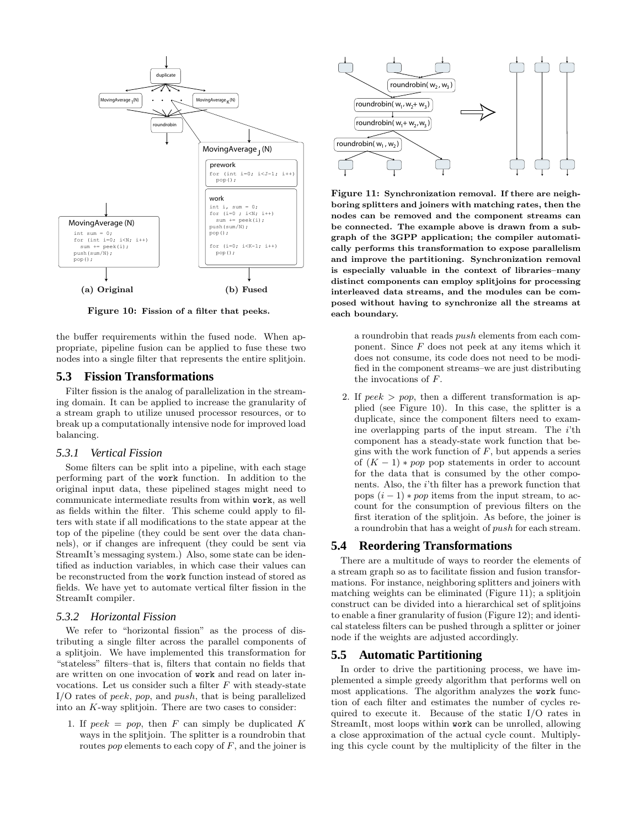

Figure 10: Fission of a filter that peeks.

the buffer requirements within the fused node. When appropriate, pipeline fusion can be applied to fuse these two nodes into a single filter that represents the entire splitjoin.

#### **5.3 Fission Transformations**

Filter fission is the analog of parallelization in the streaming domain. It can be applied to increase the granularity of a stream graph to utilize unused processor resources, or to break up a computationally intensive node for improved load balancing.

#### *5.3.1 Vertical Fission*

Some filters can be split into a pipeline, with each stage performing part of the work function. In addition to the original input data, these pipelined stages might need to communicate intermediate results from within work, as well as fields within the filter. This scheme could apply to filters with state if all modifications to the state appear at the top of the pipeline (they could be sent over the data channels), or if changes are infrequent (they could be sent via StreamIt's messaging system.) Also, some state can be identified as induction variables, in which case their values can be reconstructed from the work function instead of stored as fields. We have yet to automate vertical filter fission in the StreamIt compiler.

#### *5.3.2 Horizontal Fission*

We refer to "horizontal fission" as the process of distributing a single filter across the parallel components of a splitjoin. We have implemented this transformation for "stateless" filters–that is, filters that contain no fields that are written on one invocation of work and read on later invocations. Let us consider such a filter  $F$  with steady-state I/O rates of peek, pop, and push, that is being parallelized into an K-way splitjoin. There are two cases to consider:

1. If  $peek = pop$ , then F can simply be duplicated K ways in the splitjoin. The splitter is a roundrobin that routes *pop* elements to each copy of  $F$ , and the joiner is



Figure 11: Synchronization removal. If there are neighboring splitters and joiners with matching rates, then the nodes can be removed and the component streams can be connected. The example above is drawn from a subgraph of the 3GPP application; the compiler automatically performs this transformation to expose parallelism and improve the partitioning. Synchronization removal is especially valuable in the context of libraries–many distinct components can employ splitjoins for processing interleaved data streams, and the modules can be composed without having to synchronize all the streams at each boundary.

a roundrobin that reads push elements from each component. Since F does not peek at any items which it does not consume, its code does not need to be modified in the component streams–we are just distributing the invocations of F.

2. If  $peek > pop$ , then a different transformation is applied (see Figure 10). In this case, the splitter is a duplicate, since the component filters need to examine overlapping parts of the input stream. The  $i$ <sup>th</sup> component has a steady-state work function that begins with the work function of  $F$ , but appends a series of  $(K - 1) * pop$  pop statements in order to account for the data that is consumed by the other components. Also, the i'th filter has a prework function that pops  $(i - 1) * pop$  items from the input stream, to account for the consumption of previous filters on the first iteration of the splitjoin. As before, the joiner is a roundrobin that has a weight of push for each stream.

# **5.4 Reordering Transformations**

There are a multitude of ways to reorder the elements of a stream graph so as to facilitate fission and fusion transformations. For instance, neighboring splitters and joiners with matching weights can be eliminated (Figure 11); a splitjoin construct can be divided into a hierarchical set of splitjoins to enable a finer granularity of fusion (Figure 12); and identical stateless filters can be pushed through a splitter or joiner node if the weights are adjusted accordingly.

#### **5.5 Automatic Partitioning**

In order to drive the partitioning process, we have implemented a simple greedy algorithm that performs well on most applications. The algorithm analyzes the work function of each filter and estimates the number of cycles required to execute it. Because of the static I/O rates in StreamIt, most loops within work can be unrolled, allowing a close approximation of the actual cycle count. Multiplying this cycle count by the multiplicity of the filter in the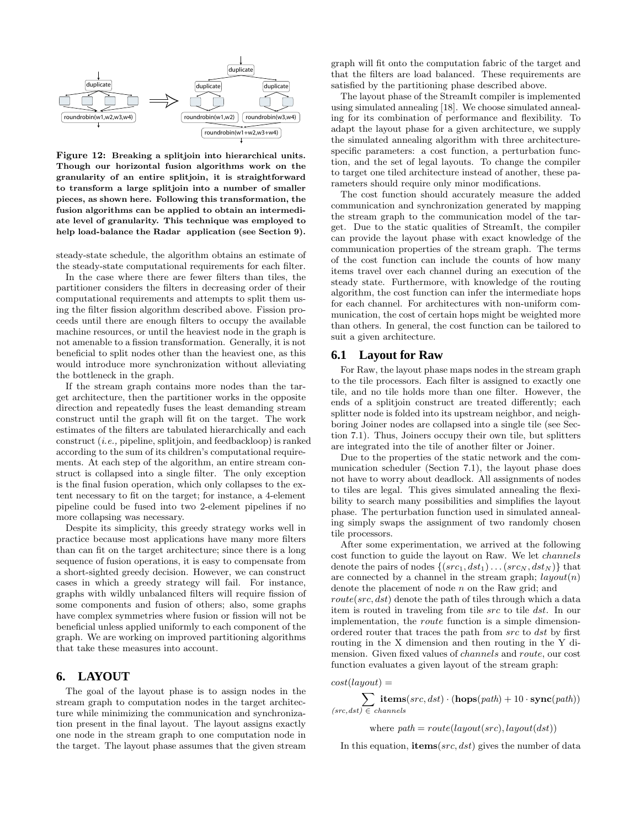

Figure 12: Breaking a splitjoin into hierarchical units. Though our horizontal fusion algorithms work on the granularity of an entire splitjoin, it is straightforward to transform a large splitjoin into a number of smaller pieces, as shown here. Following this transformation, the fusion algorithms can be applied to obtain an intermediate level of granularity. This technique was employed to help load-balance the Radar application (see Section 9).

steady-state schedule, the algorithm obtains an estimate of the steady-state computational requirements for each filter.

In the case where there are fewer filters than tiles, the partitioner considers the filters in decreasing order of their computational requirements and attempts to split them using the filter fission algorithm described above. Fission proceeds until there are enough filters to occupy the available machine resources, or until the heaviest node in the graph is not amenable to a fission transformation. Generally, it is not beneficial to split nodes other than the heaviest one, as this would introduce more synchronization without alleviating the bottleneck in the graph.

If the stream graph contains more nodes than the target architecture, then the partitioner works in the opposite direction and repeatedly fuses the least demanding stream construct until the graph will fit on the target. The work estimates of the filters are tabulated hierarchically and each construct (i.e., pipeline, splitjoin, and feedbackloop) is ranked according to the sum of its children's computational requirements. At each step of the algorithm, an entire stream construct is collapsed into a single filter. The only exception is the final fusion operation, which only collapses to the extent necessary to fit on the target; for instance, a 4-element pipeline could be fused into two 2-element pipelines if no more collapsing was necessary.

Despite its simplicity, this greedy strategy works well in practice because most applications have many more filters than can fit on the target architecture; since there is a long sequence of fusion operations, it is easy to compensate from a short-sighted greedy decision. However, we can construct cases in which a greedy strategy will fail. For instance, graphs with wildly unbalanced filters will require fission of some components and fusion of others; also, some graphs have complex symmetries where fusion or fission will not be beneficial unless applied uniformly to each component of the graph. We are working on improved partitioning algorithms that take these measures into account.

## **6. LAYOUT**

The goal of the layout phase is to assign nodes in the stream graph to computation nodes in the target architecture while minimizing the communication and synchronization present in the final layout. The layout assigns exactly one node in the stream graph to one computation node in the target. The layout phase assumes that the given stream graph will fit onto the computation fabric of the target and that the filters are load balanced. These requirements are satisfied by the partitioning phase described above.

The layout phase of the StreamIt compiler is implemented using simulated annealing [18]. We choose simulated annealing for its combination of performance and flexibility. To adapt the layout phase for a given architecture, we supply the simulated annealing algorithm with three architecturespecific parameters: a cost function, a perturbation function, and the set of legal layouts. To change the compiler to target one tiled architecture instead of another, these parameters should require only minor modifications.

The cost function should accurately measure the added communication and synchronization generated by mapping the stream graph to the communication model of the target. Due to the static qualities of StreamIt, the compiler can provide the layout phase with exact knowledge of the communication properties of the stream graph. The terms of the cost function can include the counts of how many items travel over each channel during an execution of the steady state. Furthermore, with knowledge of the routing algorithm, the cost function can infer the intermediate hops for each channel. For architectures with non-uniform communication, the cost of certain hops might be weighted more than others. In general, the cost function can be tailored to suit a given architecture.

# **6.1 Layout for Raw**

For Raw, the layout phase maps nodes in the stream graph to the tile processors. Each filter is assigned to exactly one tile, and no tile holds more than one filter. However, the ends of a splitjoin construct are treated differently; each splitter node is folded into its upstream neighbor, and neighboring Joiner nodes are collapsed into a single tile (see Section 7.1). Thus, Joiners occupy their own tile, but splitters are integrated into the tile of another filter or Joiner.

Due to the properties of the static network and the communication scheduler (Section 7.1), the layout phase does not have to worry about deadlock. All assignments of nodes to tiles are legal. This gives simulated annealing the flexibility to search many possibilities and simplifies the layout phase. The perturbation function used in simulated annealing simply swaps the assignment of two randomly chosen tile processors.

After some experimentation, we arrived at the following cost function to guide the layout on Raw. We let channels denote the pairs of nodes  $\{(src_1, dst_1) \dots (src_N, dst_N)\}\$ are connected by a channel in the stream graph;  $layout(n)$ denote the placement of node n on the Raw grid; and  $route(src, dst)$  denote the path of tiles through which a data item is routed in traveling from tile src to tile dst. In our implementation, the route function is a simple dimensionordered router that traces the path from src to dst by first

routing in the X dimension and then routing in the Y dimension. Given fixed values of channels and route, our cost function evaluates a given layout of the stream graph:

 $cost(lavour) =$ 

 $\sum$  items(src, dst)  $\cdot$  (hops(path) + 10  $\cdot$  sync(path))  $(src,dst) \in channels$ 

where  $path = route(layout(src), layout(dst))$ 

In this equation, items( $src, dst$ ) gives the number of data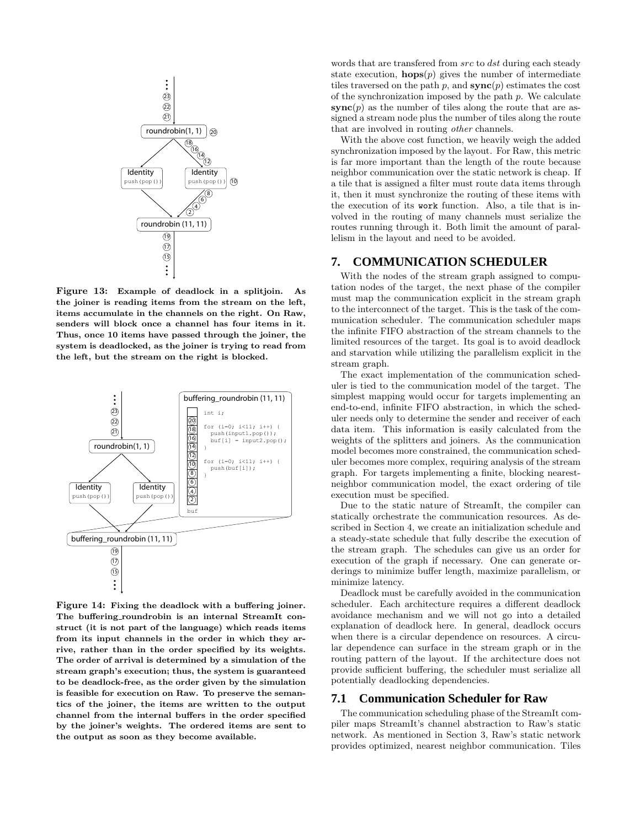

Figure 13: Example of deadlock in a splitjoin. As the joiner is reading items from the stream on the left, items accumulate in the channels on the right. On Raw, senders will block once a channel has four items in it. Thus, once 10 items have passed through the joiner, the system is deadlocked, as the joiner is trying to read from the left, but the stream on the right is blocked.



Figure 14: Fixing the deadlock with a buffering joiner. The buffering roundrobin is an internal StreamIt construct (it is not part of the language) which reads items from its input channels in the order in which they arrive, rather than in the order specified by its weights. The order of arrival is determined by a simulation of the stream graph's execution; thus, the system is guaranteed to be deadlock-free, as the order given by the simulation is feasible for execution on Raw. To preserve the semantics of the joiner, the items are written to the output channel from the internal buffers in the order specified by the joiner's weights. The ordered items are sent to the output as soon as they become available.

words that are transfered from  $src$  to dst during each steady state execution,  $\mathbf{hops}(p)$  gives the number of intermediate tiles traversed on the path p, and  $\textbf{sync}(p)$  estimates the cost of the synchronization imposed by the path  $p$ . We calculate  $\textbf{sync}(p)$  as the number of tiles along the route that are assigned a stream node plus the number of tiles along the route that are involved in routing other channels.

With the above cost function, we heavily weigh the added synchronization imposed by the layout. For Raw, this metric is far more important than the length of the route because neighbor communication over the static network is cheap. If a tile that is assigned a filter must route data items through it, then it must synchronize the routing of these items with the execution of its work function. Also, a tile that is involved in the routing of many channels must serialize the routes running through it. Both limit the amount of parallelism in the layout and need to be avoided.

#### **7. COMMUNICATION SCHEDULER**

With the nodes of the stream graph assigned to computation nodes of the target, the next phase of the compiler must map the communication explicit in the stream graph to the interconnect of the target. This is the task of the communication scheduler. The communication scheduler maps the infinite FIFO abstraction of the stream channels to the limited resources of the target. Its goal is to avoid deadlock and starvation while utilizing the parallelism explicit in the stream graph.

The exact implementation of the communication scheduler is tied to the communication model of the target. The simplest mapping would occur for targets implementing an end-to-end, infinite FIFO abstraction, in which the scheduler needs only to determine the sender and receiver of each data item. This information is easily calculated from the weights of the splitters and joiners. As the communication model becomes more constrained, the communication scheduler becomes more complex, requiring analysis of the stream graph. For targets implementing a finite, blocking nearestneighbor communication model, the exact ordering of tile execution must be specified.

Due to the static nature of StreamIt, the compiler can statically orchestrate the communication resources. As described in Section 4, we create an initialization schedule and a steady-state schedule that fully describe the execution of the stream graph. The schedules can give us an order for execution of the graph if necessary. One can generate orderings to minimize buffer length, maximize parallelism, or minimize latency.

Deadlock must be carefully avoided in the communication scheduler. Each architecture requires a different deadlock avoidance mechanism and we will not go into a detailed explanation of deadlock here. In general, deadlock occurs when there is a circular dependence on resources. A circular dependence can surface in the stream graph or in the routing pattern of the layout. If the architecture does not provide sufficient buffering, the scheduler must serialize all potentially deadlocking dependencies.

## **7.1 Communication Scheduler for Raw**

The communication scheduling phase of the StreamIt compiler maps StreamIt's channel abstraction to Raw's static network. As mentioned in Section 3, Raw's static network provides optimized, nearest neighbor communication. Tiles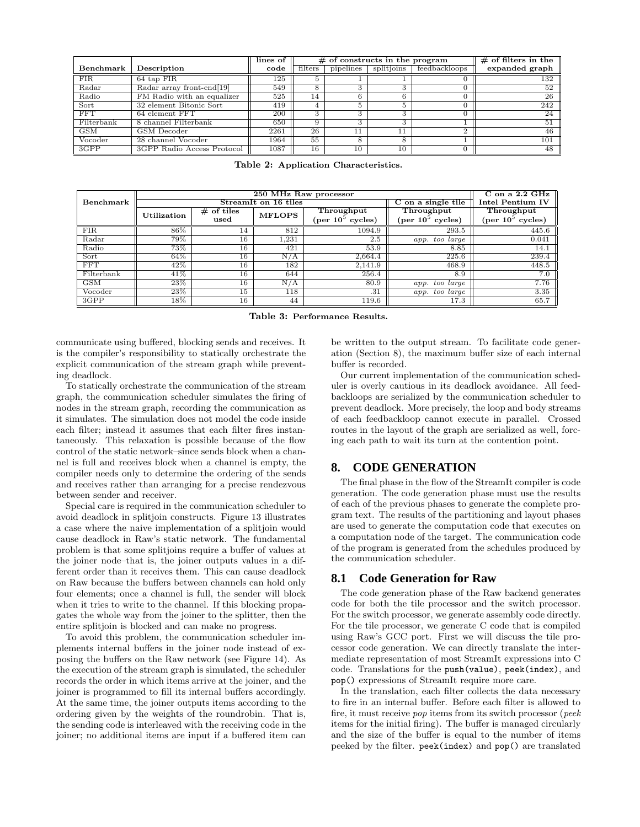|            |                                       | $#$ of constructs in the program<br>lines of |         |           |            |               | $#$ of filters in the |
|------------|---------------------------------------|----------------------------------------------|---------|-----------|------------|---------------|-----------------------|
| Benchmark  | Description                           | code                                         | filters | pipelines | splitjoins | feedbackloops | expanded graph        |
| FIR.       | 64 tap FIR                            | 125                                          |         |           |            |               | 132                   |
| Radar      | Radar array front-end <sup>[19]</sup> | 549                                          |         |           |            |               | $52^{\circ}$          |
| Radio      | FM Radio with an equalizer            | 525                                          | 14      | 6         |            |               | 26                    |
| Sort       | 32 element Bitonic Sort               | 419                                          |         | 5         |            |               | 242                   |
| FFT        | 64 element FFT                        | 200                                          |         | 3         |            |               | 24                    |
| Filterbank | 8 channel Filterbank                  | 650                                          |         | 3         |            |               | 51                    |
| <b>GSM</b> | GSM Decoder                           | 2261                                         | 26      |           | 11         | $\Omega$      | 46                    |
| Vocoder    | 28 channel Vocoder                    | 1964                                         | 55      | 8         |            |               | 101                   |
| 3GPP       | 3GPP Radio Access Protocol            | 1087                                         | 16      | 10        | 10         |               | 48                    |

| Table 2: Application Characteristics. |  |
|---------------------------------------|--|
|                                       |  |

|            |                    | $C$ on a 2.2 $GHz$ |                         |                     |                                    |                     |
|------------|--------------------|--------------------|-------------------------|---------------------|------------------------------------|---------------------|
| Benchmark  |                    | C on a single tile | <b>Intel Pentium IV</b> |                     |                                    |                     |
|            | <b>Utilization</b> | $#$ of tiles       | <b>MFLOPS</b>           | Throughput          | Throughput                         | Throughput          |
|            | used               |                    |                         | (per $10^5$ cycles) | $(\text{per }10^5 \text{ cycles})$ | (per $10^5$ cycles) |
| FIR        | 86%                | 14                 | 812                     | 1094.9              | 293.5                              | 445.6               |
| Radar      | 79%                | 16                 | 1.231                   | 2.5                 | app. too large                     | 0.041               |
| Radio      | 73%                | 16                 | 421                     | 53.9                | 8.85                               | 14.1                |
| Sort       | 64%                | 16                 | N/A                     | 2,664.4             | 225.6                              | 239.4               |
| FFT        | $42\%$             | 16                 | 182                     | 2,141.9             | 468.9                              | 448.5               |
| Filterbank | 41\%               | 16                 | 644                     | 256.4               | 8.9                                | 7.0                 |
| GSM        | 23%                | 16                 | N/A                     | 80.9                | app. too large                     | 7.76                |
| Vocoder    | 23\%               | 15                 | 118                     | .31                 | app. too large                     | 3.35                |
| 3GPP       | 18%                | 16                 | 44                      | 119.6               | 17.3                               | 65.7                |

communicate using buffered, blocking sends and receives. It is the compiler's responsibility to statically orchestrate the explicit communication of the stream graph while preventing deadlock.

To statically orchestrate the communication of the stream graph, the communication scheduler simulates the firing of nodes in the stream graph, recording the communication as it simulates. The simulation does not model the code inside each filter; instead it assumes that each filter fires instantaneously. This relaxation is possible because of the flow control of the static network–since sends block when a channel is full and receives block when a channel is empty, the compiler needs only to determine the ordering of the sends and receives rather than arranging for a precise rendezvous between sender and receiver.

Special care is required in the communication scheduler to avoid deadlock in splitjoin constructs. Figure 13 illustrates a case where the naive implementation of a splitjoin would cause deadlock in Raw's static network. The fundamental problem is that some splitjoins require a buffer of values at the joiner node–that is, the joiner outputs values in a different order than it receives them. This can cause deadlock on Raw because the buffers between channels can hold only four elements; once a channel is full, the sender will block when it tries to write to the channel. If this blocking propagates the whole way from the joiner to the splitter, then the entire splitjoin is blocked and can make no progress.

To avoid this problem, the communication scheduler implements internal buffers in the joiner node instead of exposing the buffers on the Raw network (see Figure 14). As the execution of the stream graph is simulated, the scheduler records the order in which items arrive at the joiner, and the joiner is programmed to fill its internal buffers accordingly. At the same time, the joiner outputs items according to the ordering given by the weights of the roundrobin. That is, the sending code is interleaved with the receiving code in the joiner; no additional items are input if a buffered item can

be written to the output stream. To facilitate code generation (Section 8), the maximum buffer size of each internal buffer is recorded.

Our current implementation of the communication scheduler is overly cautious in its deadlock avoidance. All feedbackloops are serialized by the communication scheduler to prevent deadlock. More precisely, the loop and body streams of each feedbackloop cannot execute in parallel. Crossed routes in the layout of the graph are serialized as well, forcing each path to wait its turn at the contention point.

# **8. CODE GENERATION**

The final phase in the flow of the StreamIt compiler is code generation. The code generation phase must use the results of each of the previous phases to generate the complete program text. The results of the partitioning and layout phases are used to generate the computation code that executes on a computation node of the target. The communication code of the program is generated from the schedules produced by the communication scheduler.

#### **8.1 Code Generation for Raw**

The code generation phase of the Raw backend generates code for both the tile processor and the switch processor. For the switch processor, we generate assembly code directly. For the tile processor, we generate C code that is compiled using Raw's GCC port. First we will discuss the tile processor code generation. We can directly translate the intermediate representation of most StreamIt expressions into C code. Translations for the push(value), peek(index), and pop() expressions of StreamIt require more care.

In the translation, each filter collects the data necessary to fire in an internal buffer. Before each filter is allowed to fire, it must receive pop items from its switch processor (peek items for the initial firing). The buffer is managed circularly and the size of the buffer is equal to the number of items peeked by the filter. peek(index) and pop() are translated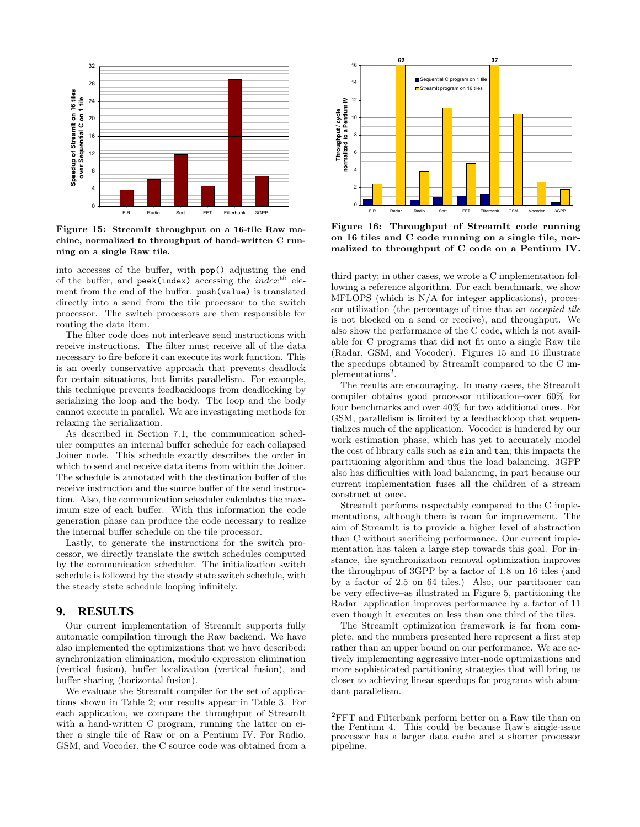

Figure 15: StreamIt throughput on a 16-tile Raw machine, normalized to throughput of hand-written C running on a single Raw tile.

into accesses of the buffer, with pop() adjusting the end of the buffer, and peek(index) accessing the  $index<sup>th</sup>$  element from the end of the buffer. push(value) is translated directly into a send from the tile processor to the switch processor. The switch processors are then responsible for routing the data item.

The filter code does not interleave send instructions with receive instructions. The filter must receive all of the data necessary to fire before it can execute its work function. This is an overly conservative approach that prevents deadlock for certain situations, but limits parallelism. For example, this technique prevents feedbackloops from deadlocking by serializing the loop and the body. The loop and the body cannot execute in parallel. We are investigating methods for relaxing the serialization.

As described in Section 7.1, the communication scheduler computes an internal buffer schedule for each collapsed Joiner node. This schedule exactly describes the order in which to send and receive data items from within the Joiner. The schedule is annotated with the destination buffer of the receive instruction and the source buffer of the send instruction. Also, the communication scheduler calculates the maximum size of each buffer. With this information the code generation phase can produce the code necessary to realize the internal buffer schedule on the tile processor.

Lastly, to generate the instructions for the switch processor, we directly translate the switch schedules computed by the communication scheduler. The initialization switch schedule is followed by the steady state switch schedule, with the steady state schedule looping infinitely.

# **9. RESULTS**

Our current implementation of StreamIt supports fully automatic compilation through the Raw backend. We have also implemented the optimizations that we have described: synchronization elimination, modulo expression elimination (vertical fusion), buffer localization (vertical fusion), and buffer sharing (horizontal fusion).

We evaluate the StreamIt compiler for the set of applications shown in Table 2; our results appear in Table 3. For each application, we compare the throughput of StreamIt with a hand-written C program, running the latter on either a single tile of Raw or on a Pentium IV. For Radio, GSM, and Vocoder, the C source code was obtained from a



Figure 16: Throughput of StreamIt code running on 16 tiles and C code running on a single tile, normalized to throughput of C code on a Pentium IV.

third party; in other cases, we wrote a C implementation following a reference algorithm. For each benchmark, we show  $MFLOPS$  (which is  $N/A$  for integer applications), processor utilization (the percentage of time that an occupied tile is not blocked on a send or receive), and throughput. We also show the performance of the C code, which is not available for C programs that did not fit onto a single Raw tile (Radar, GSM, and Vocoder). Figures 15 and 16 illustrate the speedups obtained by StreamIt compared to the C implementations<sup>2</sup>.

The results are encouraging. In many cases, the StreamIt compiler obtains good processor utilization–over 60% for four benchmarks and over 40% for two additional ones. For GSM, parallelism is limited by a feedbackloop that sequentializes much of the application. Vocoder is hindered by our work estimation phase, which has yet to accurately model the cost of library calls such as sin and tan; this impacts the partitioning algorithm and thus the load balancing. 3GPP also has difficulties with load balancing, in part because our current implementation fuses all the children of a stream construct at once.

StreamIt performs respectably compared to the C implementations, although there is room for improvement. The aim of StreamIt is to provide a higher level of abstraction than C without sacrificing performance. Our current implementation has taken a large step towards this goal. For instance, the synchronization removal optimization improves the throughput of 3GPP by a factor of 1.8 on 16 tiles (and by a factor of 2.5 on 64 tiles.) Also, our partitioner can be very effective–as illustrated in Figure 5, partitioning the Radar application improves performance by a factor of 11 even though it executes on less than one third of the tiles.

The StreamIt optimization framework is far from complete, and the numbers presented here represent a first step rather than an upper bound on our performance. We are actively implementing aggressive inter-node optimizations and more sophisticated partitioning strategies that will bring us closer to achieving linear speedups for programs with abundant parallelism.

 $^2\mathrm{FFT}$  and Filterbank perform better on a Raw tile than on the Pentium 4. This could be because Raw's single-issue processor has a larger data cache and a shorter processor pipeline.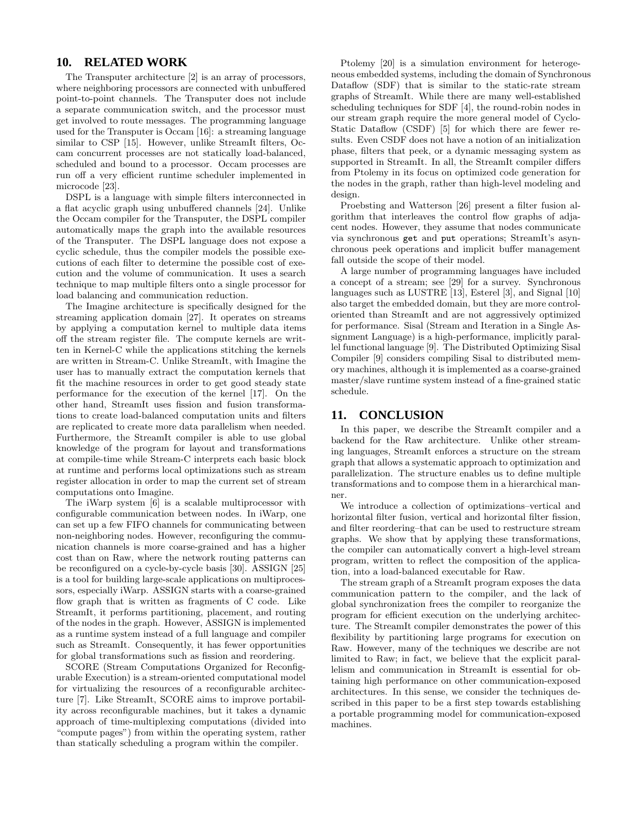# **10. RELATED WORK**

The Transputer architecture [2] is an array of processors, where neighboring processors are connected with unbuffered point-to-point channels. The Transputer does not include a separate communication switch, and the processor must get involved to route messages. The programming language used for the Transputer is Occam [16]: a streaming language similar to CSP [15]. However, unlike StreamIt filters, Occam concurrent processes are not statically load-balanced, scheduled and bound to a processor. Occam processes are run off a very efficient runtime scheduler implemented in microcode [23].

DSPL is a language with simple filters interconnected in a flat acyclic graph using unbuffered channels [24]. Unlike the Occam compiler for the Transputer, the DSPL compiler automatically maps the graph into the available resources of the Transputer. The DSPL language does not expose a cyclic schedule, thus the compiler models the possible executions of each filter to determine the possible cost of execution and the volume of communication. It uses a search technique to map multiple filters onto a single processor for load balancing and communication reduction.

The Imagine architecture is specifically designed for the streaming application domain [27]. It operates on streams by applying a computation kernel to multiple data items off the stream register file. The compute kernels are written in Kernel-C while the applications stitching the kernels are written in Stream-C. Unlike StreamIt, with Imagine the user has to manually extract the computation kernels that fit the machine resources in order to get good steady state performance for the execution of the kernel [17]. On the other hand, StreamIt uses fission and fusion transformations to create load-balanced computation units and filters are replicated to create more data parallelism when needed. Furthermore, the StreamIt compiler is able to use global knowledge of the program for layout and transformations at compile-time while Stream-C interprets each basic block at runtime and performs local optimizations such as stream register allocation in order to map the current set of stream computations onto Imagine.

The iWarp system [6] is a scalable multiprocessor with configurable communication between nodes. In iWarp, one can set up a few FIFO channels for communicating between non-neighboring nodes. However, reconfiguring the communication channels is more coarse-grained and has a higher cost than on Raw, where the network routing patterns can be reconfigured on a cycle-by-cycle basis [30]. ASSIGN [25] is a tool for building large-scale applications on multiprocessors, especially iWarp. ASSIGN starts with a coarse-grained flow graph that is written as fragments of C code. Like StreamIt, it performs partitioning, placement, and routing of the nodes in the graph. However, ASSIGN is implemented as a runtime system instead of a full language and compiler such as StreamIt. Consequently, it has fewer opportunities for global transformations such as fission and reordering.

SCORE (Stream Computations Organized for Reconfigurable Execution) is a stream-oriented computational model for virtualizing the resources of a reconfigurable architecture [7]. Like StreamIt, SCORE aims to improve portability across reconfigurable machines, but it takes a dynamic approach of time-multiplexing computations (divided into "compute pages") from within the operating system, rather than statically scheduling a program within the compiler.

Ptolemy [20] is a simulation environment for heterogeneous embedded systems, including the domain of Synchronous Dataflow (SDF) that is similar to the static-rate stream graphs of StreamIt. While there are many well-established scheduling techniques for SDF [4], the round-robin nodes in our stream graph require the more general model of Cyclo-Static Dataflow (CSDF) [5] for which there are fewer results. Even CSDF does not have a notion of an initialization phase, filters that peek, or a dynamic messaging system as supported in StreamIt. In all, the StreamIt compiler differs from Ptolemy in its focus on optimized code generation for the nodes in the graph, rather than high-level modeling and design.

Proebsting and Watterson [26] present a filter fusion algorithm that interleaves the control flow graphs of adjacent nodes. However, they assume that nodes communicate via synchronous get and put operations; StreamIt's asynchronous peek operations and implicit buffer management fall outside the scope of their model.

A large number of programming languages have included a concept of a stream; see [29] for a survey. Synchronous languages such as LUSTRE [13], Esterel [3], and Signal [10] also target the embedded domain, but they are more controloriented than StreamIt and are not aggressively optimized for performance. Sisal (Stream and Iteration in a Single Assignment Language) is a high-performance, implicitly parallel functional language [9]. The Distributed Optimizing Sisal Compiler [9] considers compiling Sisal to distributed memory machines, although it is implemented as a coarse-grained master/slave runtime system instead of a fine-grained static schedule.

## **11. CONCLUSION**

In this paper, we describe the StreamIt compiler and a backend for the Raw architecture. Unlike other streaming languages, StreamIt enforces a structure on the stream graph that allows a systematic approach to optimization and parallelization. The structure enables us to define multiple transformations and to compose them in a hierarchical manner.

We introduce a collection of optimizations–vertical and horizontal filter fusion, vertical and horizontal filter fission, and filter reordering–that can be used to restructure stream graphs. We show that by applying these transformations, the compiler can automatically convert a high-level stream program, written to reflect the composition of the application, into a load-balanced executable for Raw.

The stream graph of a StreamIt program exposes the data communication pattern to the compiler, and the lack of global synchronization frees the compiler to reorganize the program for efficient execution on the underlying architecture. The StreamIt compiler demonstrates the power of this flexibility by partitioning large programs for execution on Raw. However, many of the techniques we describe are not limited to Raw; in fact, we believe that the explicit parallelism and communication in StreamIt is essential for obtaining high performance on other communication-exposed architectures. In this sense, we consider the techniques described in this paper to be a first step towards establishing a portable programming model for communication-exposed machines.